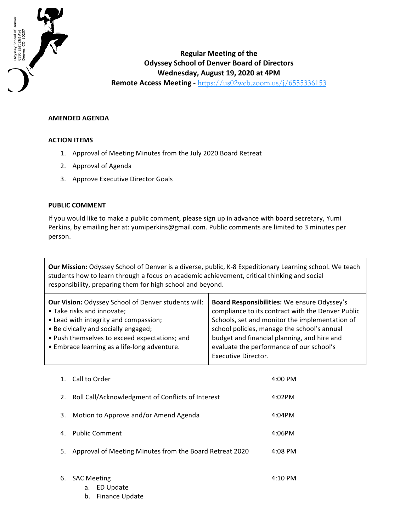

## **Regular Meeting of the Odyssey School of Denver Board of Directors Wednesday, August 19, 2020 at 4PM Remote Access Meeting** - https://us02web.zoom.us/j/6555336153

## **AMENDED AGENDA**

## **ACTION ITEMS**

- 1. Approval of Meeting Minutes from the July 2020 Board Retreat
- 2. Approval of Agenda
- 3. Approve Executive Director Goals

## **PUBLIC COMMENT**

If you would like to make a public comment, please sign up in advance with board secretary, Yumi Perkins, by emailing her at: yumiperkins@gmail.com. Public comments are limited to 3 minutes per person.

**Our Mission:** Odyssey School of Denver is a diverse, public, K-8 Expeditionary Learning school. We teach students how to learn through a focus on academic achievement, critical thinking and social responsibility, preparing them for high school and beyond.

| <b>Our Vision: Odyssey School of Denver students will:</b> | Board Responsibilities: We ensure Odyssey's       |
|------------------------------------------------------------|---------------------------------------------------|
| • Take risks and innovate;                                 | compliance to its contract with the Denver Public |
| • Lead with integrity and compassion;                      | Schools, set and monitor the implementation of    |
| • Be civically and socially engaged;                       | school policies, manage the school's annual       |
| • Push themselves to exceed expectations; and              | budget and financial planning, and hire and       |
| • Embrace learning as a life-long adventure.               | evaluate the performance of our school's          |
|                                                            | Executive Director.                               |

|    | Call to Order<br>$1_{-}$                                | $4:00$ PM |
|----|---------------------------------------------------------|-----------|
| 2. | Roll Call/Acknowledgment of Conflicts of Interest       | 4:02PM    |
| 3. | Motion to Approve and/or Amend Agenda                   | 4:04PM    |
| 4. | <b>Public Comment</b>                                   | 4:06PM    |
| 5. | Approval of Meeting Minutes from the Board Retreat 2020 | $4:08$ PM |
|    |                                                         |           |
|    | 6. SAC Meeting                                          | 4:10 PM   |

| <b>SAC Meeting</b> |                   | $4:10$ PM |
|--------------------|-------------------|-----------|
|                    | a. ED Update      |           |
|                    | b. Finance Update |           |